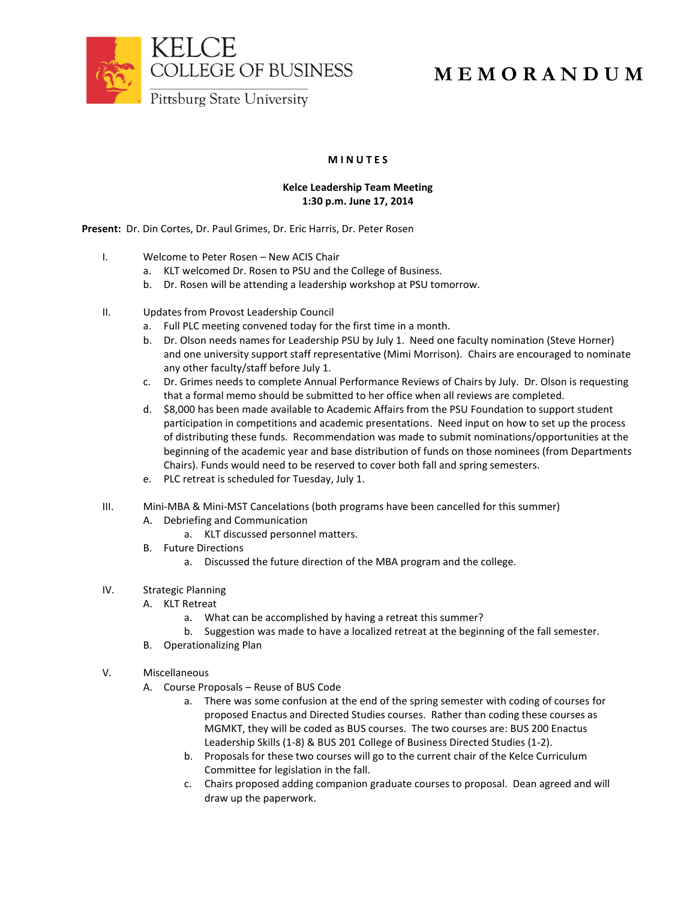



## **M E M O R A N D U M**

## **M I N U T E S**

## **Kelce Leadership Team Meeting 1:30 p.m. June 17, 2014**

**Present:** Dr. Din Cortes, Dr. Paul Grimes, Dr. Eric Harris, Dr. Peter Rosen

- I. Welcome to Peter Rosen New ACIS Chair
	- a. KLT welcomed Dr. Rosen to PSU and the College of Business.
	- b. Dr. Rosen will be attending a leadership workshop at PSU tomorrow.
- II. Updates from Provost Leadership Council
	- a. Full PLC meeting convened today for the first time in a month.
	- b. Dr. Olson needs names for Leadership PSU by July 1. Need one faculty nomination (Steve Horner) and one university support staff representative (Mimi Morrison). Chairs are encouraged to nominate any other faculty/staff before July 1.
	- c. Dr. Grimes needs to complete Annual Performance Reviews of Chairs by July. Dr. Olson is requesting that a formal memo should be submitted to her office when all reviews are completed.
	- d. \$8,000 has been made available to Academic Affairs from the PSU Foundation to support student participation in competitions and academic presentations. Need input on how to set up the process of distributing these funds. Recommendation was made to submit nominations/opportunities at the beginning of the academic year and base distribution of funds on those nominees (from Departments Chairs). Funds would need to be reserved to cover both fall and spring semesters.
	- e. PLC retreat is scheduled for Tuesday, July 1.
- III. Mini-MBA & Mini-MST Cancelations (both programs have been cancelled for this summer)
	- A. Debriefing and Communication
		- a. KLT discussed personnel matters.
	- B. Future Directions
		- a. Discussed the future direction of the MBA program and the college.
- IV. Strategic Planning
	- A. KLT Retreat
		- a. What can be accomplished by having a retreat this summer?
		- b. Suggestion was made to have a localized retreat at the beginning of the fall semester.
	- B. Operationalizing Plan
- V. Miscellaneous
	- A. Course Proposals Reuse of BUS Code
		- a. There was some confusion at the end of the spring semester with coding of courses for proposed Enactus and Directed Studies courses. Rather than coding these courses as MGMKT, they will be coded as BUS courses. The two courses are: BUS 200 Enactus Leadership Skills (1-8) & BUS 201 College of Business Directed Studies (1-2).
		- b. Proposals for these two courses will go to the current chair of the Kelce Curriculum Committee for legislation in the fall.
		- c. Chairs proposed adding companion graduate courses to proposal. Dean agreed and will draw up the paperwork.